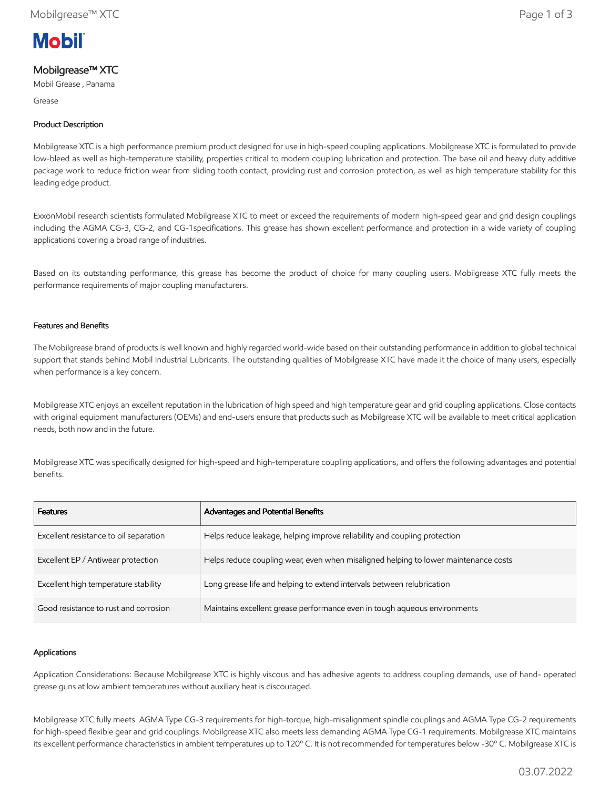

# Mobilgrease™ XTC

Mobil Grease , Panama

Grease

## Product Description

Mobilgrease XTC is a high performance premium product designed for use in high-speed coupling applications. Mobilgrease XTC is formulated to provide low-bleed as well as high-temperature stability, properties critical to modern coupling lubrication and protection. The base oil and heavy duty additive package work to reduce friction wear from sliding tooth contact, providing rust and corrosion protection, as well as high temperature stability for this leading edge product.

ExxonMobil research scientists formulated Mobilgrease XTC to meet or exceed the requirements of modern high-speed gear and grid design couplings including the AGMA CG-3, CG-2, and CG-1specifications. This grease has shown excellent performance and protection in a wide variety of coupling applications covering a broad range of industries.

Based on its outstanding performance, this grease has become the product of choice for many coupling users. Mobilgrease XTC fully meets the performance requirements of major coupling manufacturers.

### Features and Benefits

The Mobilgrease brand of products is well known and highly regarded world-wide based on their outstanding performance in addition to global technical support that stands behind Mobil Industrial Lubricants. The outstanding qualities of Mobilgrease XTC have made it the choice of many users, especially when performance is a key concern.

Mobilgrease XTC enjoys an excellent reputation in the lubrication of high speed and high temperature gear and grid coupling applications. Close contacts with original equipment manufacturers (OEMs) and end-users ensure that products such as Mobilgrease XTC will be available to meet critical application needs, both now and in the future.

Mobilgrease XTC was specifically designed for high-speed and high-temperature coupling applications, and offers the following advantages and potential benefits.

| <b>Features</b>                        | Advantages and Potential Benefits                                                   |
|----------------------------------------|-------------------------------------------------------------------------------------|
| Excellent resistance to oil separation | Helps reduce leakage, helping improve reliability and coupling protection           |
| Excellent EP / Antiwear protection     | Helps reduce coupling wear, even when misaligned helping to lower maintenance costs |
| Excellent high temperature stability   | Long grease life and helping to extend intervals between relubrication              |
| Good resistance to rust and corrosion  | Maintains excellent grease performance even in tough aqueous environments           |

### Applications

Application Considerations: Because Mobilgrease XTC is highly viscous and has adhesive agents to address coupling demands, use of hand- operated grease guns at low ambient temperatures without auxiliary heat is discouraged.

Mobilgrease XTC fully meets AGMA Type CG-3 requirements for high-torque, high-misalignment spindle couplings and AGMA Type CG-2 requirements for high-speed flexible gear and grid couplings. Mobilgrease XTC also meets less demanding AGMA Type CG-1 requirements. Mobilgrease XTC maintains its excellent performance characteristics in ambient temperatures up to 120º C. It is not recommended for temperatures below -30º C. Mobilgrease XTC is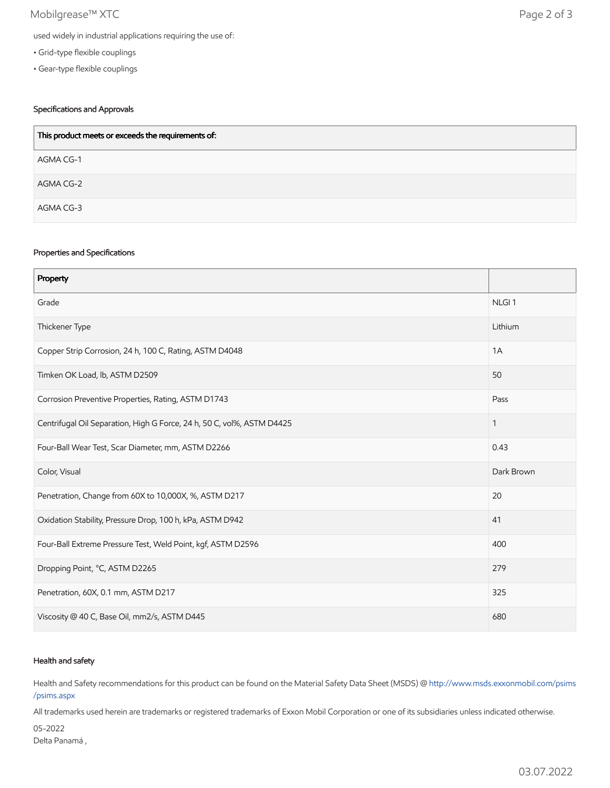## Mobilgrease™ XTC Page 2 of 3

- Grid-type flexible couplings
- Gear-type flexible couplings

## Specifications and Approvals

| This product meets or exceeds the requirements of: |
|----------------------------------------------------|
| AGMA CG-1                                          |
| AGMA CG-2                                          |
| AGMA CG-3                                          |

#### Properties and Specifications

| Property                                                               |                   |
|------------------------------------------------------------------------|-------------------|
| Grade                                                                  | NLGI <sub>1</sub> |
| Thickener Type                                                         | Lithium           |
| Copper Strip Corrosion, 24 h, 100 C, Rating, ASTM D4048                | 1A                |
| Timken OK Load, lb, ASTM D2509                                         | 50                |
| Corrosion Preventive Properties, Rating, ASTM D1743                    | Pass              |
| Centrifugal Oil Separation, High G Force, 24 h, 50 C, vol%, ASTM D4425 | $\mathbf{1}$      |
| Four-Ball Wear Test, Scar Diameter, mm, ASTM D2266                     | 0.43              |
| Color, Visual                                                          | Dark Brown        |
| Penetration, Change from 60X to 10,000X, %, ASTM D217                  | 20                |
| Oxidation Stability, Pressure Drop, 100 h, kPa, ASTM D942              | 41                |
| Four-Ball Extreme Pressure Test, Weld Point, kgf, ASTM D2596           | 400               |
| Dropping Point, °C, ASTM D2265                                         | 279               |
| Penetration, 60X, 0.1 mm, ASTM D217                                    | 325               |
| Viscosity @ 40 C, Base Oil, mm2/s, ASTM D445                           | 680               |

#### Health and safety

Health and Safety recommendations for this product can be found on the Material Safety Data Sheet (MSDS) @ [http://www.msds.exxonmobil.com/psims](http://www.msds.exxonmobil.com/psims/psims.aspx) /psims.aspx

All trademarks used herein are trademarks or registered trademarks of Exxon Mobil Corporation or one of its subsidiaries unless indicated otherwise.

05-2022 Delta Panamá ,